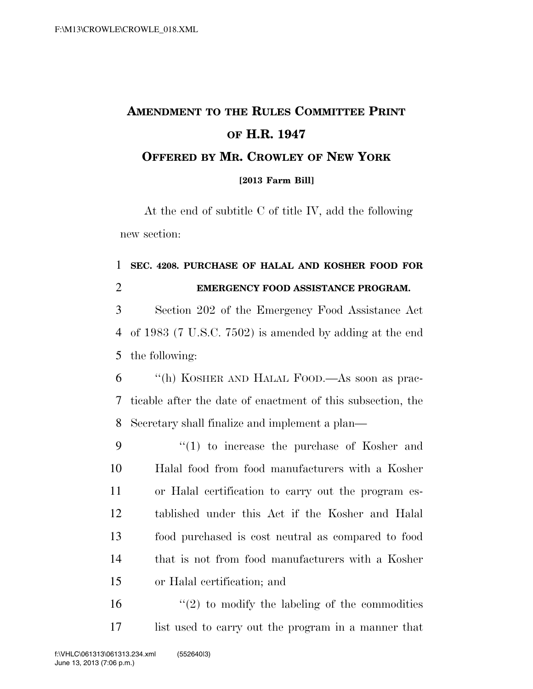## **AMENDMENT TO THE RULES COMMITTEE PRINT OF H.R. 1947 OFFERED BY MR. CROWLEY OF NEW YORK [2013 Farm Bill]**

At the end of subtitle C of title IV, add the following new section:

## **SEC. 4208. PURCHASE OF HALAL AND KOSHER FOOD FOR EMERGENCY FOOD ASSISTANCE PROGRAM.**

 Section 202 of the Emergency Food Assistance Act of 1983 (7 U.S.C. 7502) is amended by adding at the end the following:

 ''(h) KOSHER AND HALAL FOOD.—As soon as prac- ticable after the date of enactment of this subsection, the Secretary shall finalize and implement a plan—

 ''(1) to increase the purchase of Kosher and Halal food from food manufacturers with a Kosher or Halal certification to carry out the program es- tablished under this Act if the Kosher and Halal food purchased is cost neutral as compared to food that is not from food manufacturers with a Kosher or Halal certification; and

 $(2)$  to modify the labeling of the commodities list used to carry out the program in a manner that